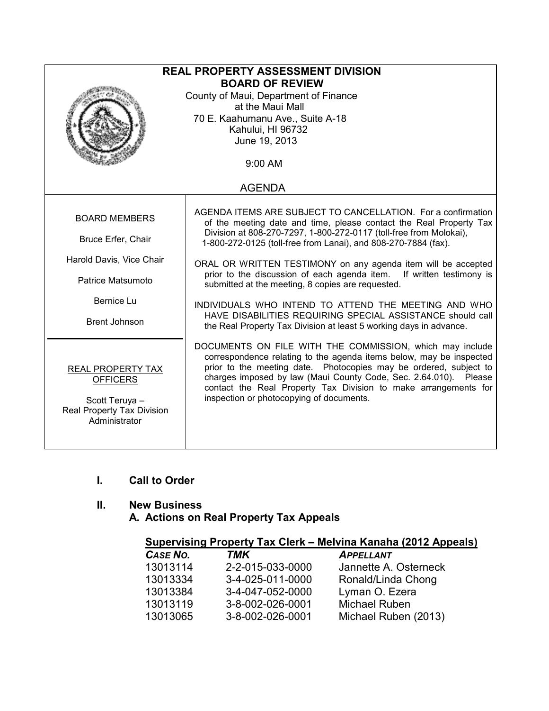| <b>REAL PROPERTY ASSESSMENT DIVISION</b>                   |                                                                                                                                          |  |  |
|------------------------------------------------------------|------------------------------------------------------------------------------------------------------------------------------------------|--|--|
| <b>BOARD OF REVIEW</b>                                     |                                                                                                                                          |  |  |
| County of Maui, Department of Finance<br>at the Maui Mall  |                                                                                                                                          |  |  |
|                                                            | 70 E. Kaahumanu Ave., Suite A-18                                                                                                         |  |  |
|                                                            | Kahului, HI 96732                                                                                                                        |  |  |
|                                                            | June 19, 2013                                                                                                                            |  |  |
|                                                            |                                                                                                                                          |  |  |
|                                                            | 9:00 AM                                                                                                                                  |  |  |
|                                                            | <b>AGENDA</b>                                                                                                                            |  |  |
|                                                            |                                                                                                                                          |  |  |
| <b>BOARD MEMBERS</b>                                       | AGENDA ITEMS ARE SUBJECT TO CANCELLATION. For a confirmation                                                                             |  |  |
|                                                            | of the meeting date and time, please contact the Real Property Tax<br>Division at 808-270-7297, 1-800-272-0117 (toll-free from Molokai), |  |  |
| Bruce Erfer, Chair                                         | 1-800-272-0125 (toll-free from Lanai), and 808-270-7884 (fax).                                                                           |  |  |
| Harold Davis, Vice Chair                                   |                                                                                                                                          |  |  |
|                                                            | ORAL OR WRITTEN TESTIMONY on any agenda item will be accepted<br>prior to the discussion of each agenda item. If written testimony is    |  |  |
| Patrice Matsumoto                                          | submitted at the meeting, 8 copies are requested.                                                                                        |  |  |
| Bernice Lu                                                 | INDIVIDUALS WHO INTEND TO ATTEND THE MEETING AND WHO                                                                                     |  |  |
|                                                            | HAVE DISABILITIES REQUIRING SPECIAL ASSISTANCE should call                                                                               |  |  |
| <b>Brent Johnson</b>                                       | the Real Property Tax Division at least 5 working days in advance.                                                                       |  |  |
|                                                            | DOCUMENTS ON FILE WITH THE COMMISSION, which may include<br>correspondence relating to the agenda items below, may be inspected          |  |  |
| REAL PROPERTY TAX                                          | prior to the meeting date. Photocopies may be ordered, subject to                                                                        |  |  |
| <b>OFFICERS</b>                                            | charges imposed by law (Maui County Code, Sec. 2.64.010). Please<br>contact the Real Property Tax Division to make arrangements for      |  |  |
| inspection or photocopying of documents.<br>Scott Teruya - |                                                                                                                                          |  |  |
| Real Property Tax Division                                 |                                                                                                                                          |  |  |
| Administrator                                              |                                                                                                                                          |  |  |
|                                                            |                                                                                                                                          |  |  |

# I. Call to Order

# II. New Business

A. Actions on Real Property Tax Appeals

| Supervising Property Tax Clerk – Melvina Kanaha (2012 Appeals) |  |
|----------------------------------------------------------------|--|
|----------------------------------------------------------------|--|

| CASE NO. | TMK              | <b>APPELLANT</b>      |  |
|----------|------------------|-----------------------|--|
| 13013114 | 2-2-015-033-0000 | Jannette A. Osterneck |  |
| 13013334 | 3-4-025-011-0000 | Ronald/Linda Chong    |  |
| 13013384 | 3-4-047-052-0000 | Lyman O. Ezera        |  |
| 13013119 | 3-8-002-026-0001 | Michael Ruben         |  |
| 13013065 | 3-8-002-026-0001 | Michael Ruben (2013)  |  |
|          |                  |                       |  |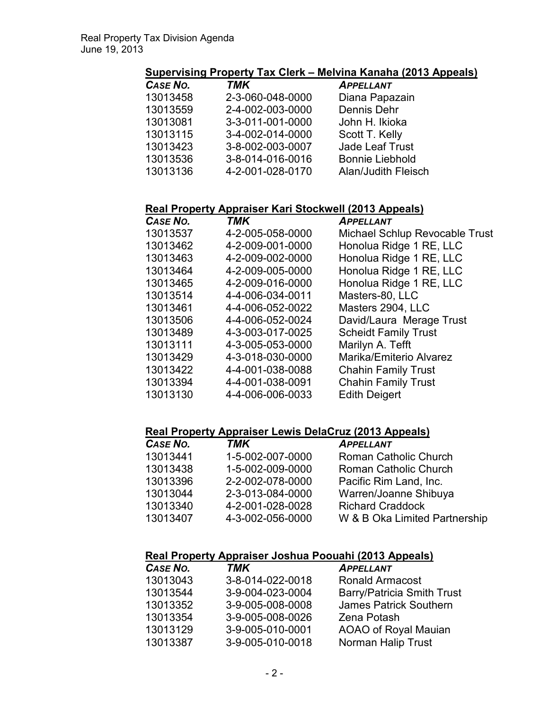#### Supervising Property Tax Clerk – Melvina Kanaha (2013 Appeals)

| CASE NO. | <b>TMK</b>       | <b>APPELLANT</b>       |
|----------|------------------|------------------------|
| 13013458 | 2-3-060-048-0000 | Diana Papazain         |
| 13013559 | 2-4-002-003-0000 | Dennis Dehr            |
| 13013081 | 3-3-011-001-0000 | John H. Ikioka         |
| 13013115 | 3-4-002-014-0000 | Scott T. Kelly         |
| 13013423 | 3-8-002-003-0007 | Jade Leaf Trust        |
| 13013536 | 3-8-014-016-0016 | <b>Bonnie Liebhold</b> |
| 13013136 | 4-2-001-028-0170 | Alan/Judith Fleisch    |

## Real Property Appraiser Kari Stockwell (2013 Appeals)

| CASE NO. | <b>TMK</b>       | <b>APPELLANT</b>               |
|----------|------------------|--------------------------------|
| 13013537 | 4-2-005-058-0000 | Michael Schlup Revocable Trust |
| 13013462 | 4-2-009-001-0000 | Honolua Ridge 1 RE, LLC        |
| 13013463 | 4-2-009-002-0000 | Honolua Ridge 1 RE, LLC        |
| 13013464 | 4-2-009-005-0000 | Honolua Ridge 1 RE, LLC        |
| 13013465 | 4-2-009-016-0000 | Honolua Ridge 1 RE, LLC        |
| 13013514 | 4-4-006-034-0011 | Masters-80, LLC                |
| 13013461 | 4-4-006-052-0022 | Masters 2904, LLC              |
| 13013506 | 4-4-006-052-0024 | David/Laura Merage Trust       |
| 13013489 | 4-3-003-017-0025 | <b>Scheidt Family Trust</b>    |
| 13013111 | 4-3-005-053-0000 | Marilyn A. Tefft               |
| 13013429 | 4-3-018-030-0000 | Marika/Emiterio Alvarez        |
| 13013422 | 4-4-001-038-0088 | <b>Chahin Family Trust</b>     |
| 13013394 | 4-4-001-038-0091 | <b>Chahin Family Trust</b>     |
| 13013130 | 4-4-006-006-0033 | <b>Edith Deigert</b>           |

# Real Property Appraiser Lewis DelaCruz (2013 Appeals)

| CASE NO. | TMK              | <b>APPELLANT</b>              |
|----------|------------------|-------------------------------|
| 13013441 | 1-5-002-007-0000 | Roman Catholic Church         |
| 13013438 | 1-5-002-009-0000 | Roman Catholic Church         |
| 13013396 | 2-2-002-078-0000 | Pacific Rim Land, Inc.        |
| 13013044 | 2-3-013-084-0000 | Warren/Joanne Shibuya         |
| 13013340 | 4-2-001-028-0028 | <b>Richard Craddock</b>       |
| 13013407 | 4-3-002-056-0000 | W & B Oka Limited Partnership |

## Real Property Appraiser Joshua Poouahi (2013 Appeals)

| CASE NO. | <b>TMK</b>       | <b>APPELLANT</b>                  |
|----------|------------------|-----------------------------------|
| 13013043 | 3-8-014-022-0018 | <b>Ronald Armacost</b>            |
| 13013544 | 3-9-004-023-0004 | <b>Barry/Patricia Smith Trust</b> |
| 13013352 | 3-9-005-008-0008 | <b>James Patrick Southern</b>     |
| 13013354 | 3-9-005-008-0026 | Zena Potash                       |
| 13013129 | 3-9-005-010-0001 | <b>AOAO of Royal Mauian</b>       |
| 13013387 | 3-9-005-010-0018 | Norman Halip Trust                |